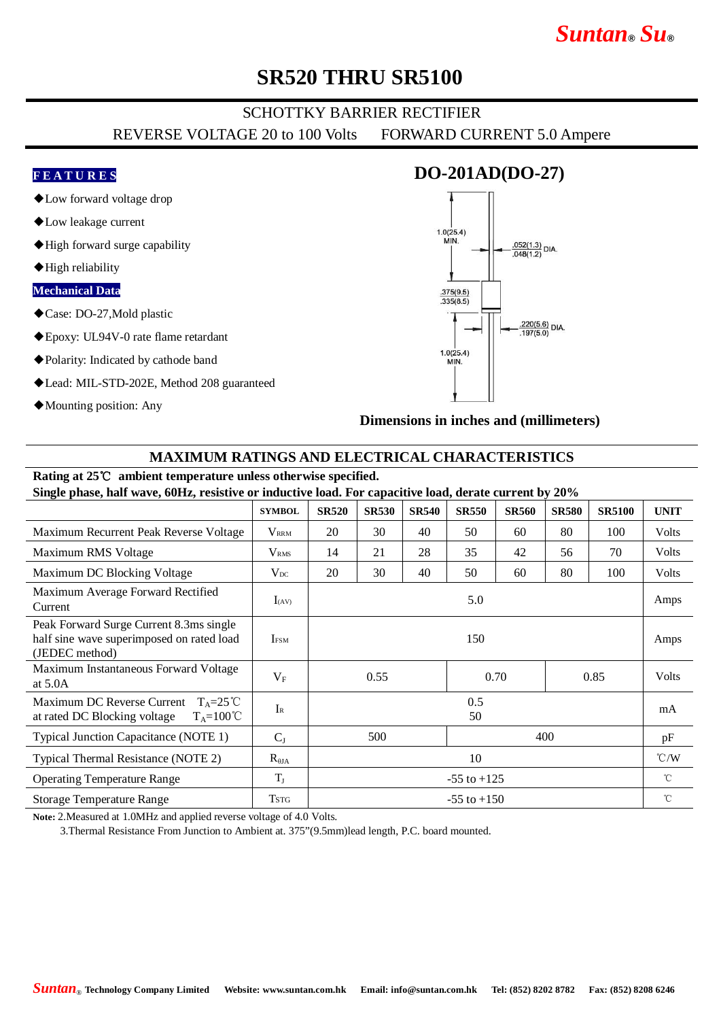## *Suntan***®** *Su***®**

## **SR520 THRU SR5100**

### SCHOTTKY BARRIER RECTIFIER

REVERSE VOLTAGE 20 to 100 Volts FORWARD CURRENT 5.0 Ampere

### **F E A T U R E S**

- ◆Low forward voltage drop
- ◆Low leakage current
- ◆High forward surge capability
- ◆High reliability

#### **Mechanical Data**

- ◆Case: DO-27,Mold plastic
- ◆Epoxy: UL94V-0 rate flame retardant
- ◆Polarity: Indicated by cathode band
- ◆Lead: MIL-STD-202E, Method 208 guaranteed
- ◆Mounting position: Any



**Dimensions in inches and (millimeters)**

### **MAXIMUM RATINGS AND ELECTRICAL CHARACTERISTICS**

#### **Rating at 25**℃ **ambient temperature unless otherwise specified. Single phase, half wave, 60Hz, resistive or inductive load. For capacitive load, derate current by 20%**

| $\frac{1}{2}$ $\frac{1}{2}$ $\frac{1}{2}$ $\frac{1}{2}$ $\frac{1}{2}$ $\frac{1}{2}$ $\frac{1}{2}$ $\frac{1}{2}$ $\frac{1}{2}$ $\frac{1}{2}$ $\frac{1}{2}$ $\frac{1}{2}$ $\frac{1}{2}$ $\frac{1}{2}$ $\frac{1}{2}$ $\frac{1}{2}$ $\frac{1}{2}$ $\frac{1}{2}$ $\frac{1}{2}$ $\frac{1}{2}$ $\frac{1}{2}$ $\frac{1}{2}$ |                         |                      |              |              |              |              |              |               |                    |
|---------------------------------------------------------------------------------------------------------------------------------------------------------------------------------------------------------------------------------------------------------------------------------------------------------------------|-------------------------|----------------------|--------------|--------------|--------------|--------------|--------------|---------------|--------------------|
|                                                                                                                                                                                                                                                                                                                     | <b>SYMBOL</b>           | <b>SR520</b>         | <b>SR530</b> | <b>SR540</b> | <b>SR550</b> | <b>SR560</b> | <b>SR580</b> | <b>SR5100</b> | <b>UNIT</b>        |
| Maximum Recurrent Peak Reverse Voltage                                                                                                                                                                                                                                                                              | <b>V</b> <sub>RRM</sub> | 20                   | 30           | 40           | 50           | 60           | 80           | 100           | <b>Volts</b>       |
| Maximum RMS Voltage                                                                                                                                                                                                                                                                                                 | <b>V</b> <sub>RMS</sub> | 14                   | 21           | 28           | 35           | 42           | 56           | 70            | Volts              |
| Maximum DC Blocking Voltage                                                                                                                                                                                                                                                                                         | $V_{DC}$                | 20                   | 30           | 40           | 50           | 60           | 80           | 100           | Volts              |
| Maximum Average Forward Rectified<br>Current                                                                                                                                                                                                                                                                        | $I_{(AV)}$              | 5.0                  |              |              |              |              |              |               | Amps               |
| Peak Forward Surge Current 8.3ms single<br>half sine wave superimposed on rated load<br>(JEDEC method)                                                                                                                                                                                                              | <b>IFSM</b>             | 150                  |              |              |              |              |              |               | Amps               |
| Maximum Instantaneous Forward Voltage<br>at $5.0A$                                                                                                                                                                                                                                                                  | $V_{\rm F}$             | 0.55<br>0.70<br>0.85 |              |              |              |              | Volts        |               |                    |
| Maximum DC Reverse Current<br>$T_A = 25^{\circ}C$<br>$T_A = 100^{\circ}C$<br>at rated DC Blocking voltage                                                                                                                                                                                                           | $I_{R}$                 | 0.5<br>50            |              |              |              |              |              |               | mA                 |
| Typical Junction Capacitance (NOTE 1)                                                                                                                                                                                                                                                                               | $C_I$                   | 500<br>400           |              |              |              |              |              | pF            |                    |
| Typical Thermal Resistance (NOTE 2)                                                                                                                                                                                                                                                                                 | $R_{\theta JA}$         | 10                   |              |              |              |              |              |               | $\rm ^{\circ}$ C/W |
| <b>Operating Temperature Range</b>                                                                                                                                                                                                                                                                                  | $T_{J}$                 | $-55$ to $+125$      |              |              |              |              |              |               | $^{\circ}$ C       |
| Storage Temperature Range                                                                                                                                                                                                                                                                                           | <b>TSTG</b>             | $-55$ to $+150$      |              |              |              |              |              |               | $^{\circ}$ C       |

**Note:** 2.Measured at 1.0MHz and applied reverse voltage of 4.0 Volts.

3.Thermal Resistance From Junction to Ambient at. 375"(9.5mm)lead length, P.C. board mounted.